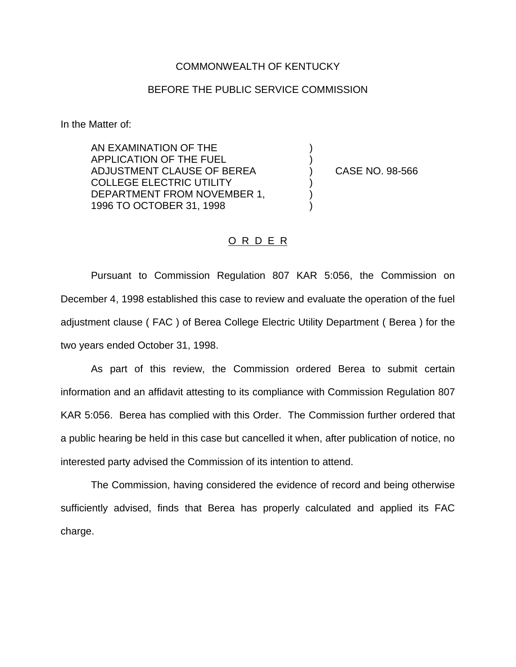## COMMONWEALTH OF KENTUCKY

## BEFORE THE PUBLIC SERVICE COMMISSION

) )

) ) )

In the Matter of:

AN EXAMINATION OF THE APPLICATION OF THE FUEL ADJUSTMENT CLAUSE OF BEREA COLLEGE ELECTRIC UTILITY DEPARTMENT FROM NOVEMBER 1, 1996 TO OCTOBER 31, 1998

) CASE NO. 98-566

## O R D E R

Pursuant to Commission Regulation 807 KAR 5:056, the Commission on December 4, 1998 established this case to review and evaluate the operation of the fuel adjustment clause ( FAC ) of Berea College Electric Utility Department ( Berea ) for the two years ended October 31, 1998.

As part of this review, the Commission ordered Berea to submit certain information and an affidavit attesting to its compliance with Commission Regulation 807 KAR 5:056. Berea has complied with this Order. The Commission further ordered that a public hearing be held in this case but cancelled it when, after publication of notice, no interested party advised the Commission of its intention to attend.

The Commission, having considered the evidence of record and being otherwise sufficiently advised, finds that Berea has properly calculated and applied its FAC charge.